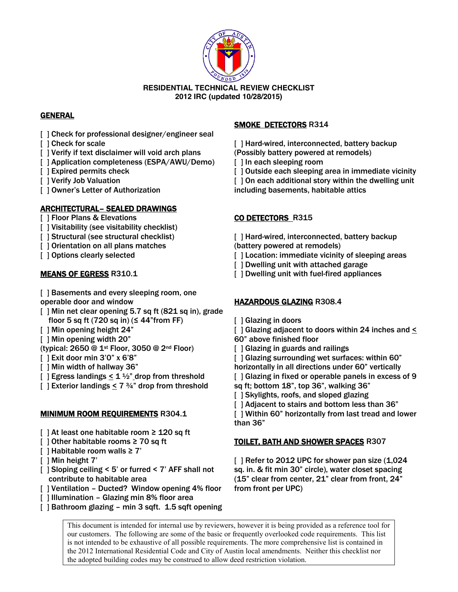

# **GENERAL**

- [ ] Check for professional designer/engineer seal
- [ ] Check for scale
- [ ] Verify if text disclaimer will void arch plans
- [ ] Application completeness (ESPA/AWU/Demo)
- [ ] Expired permits check
- [ ] Verify Job Valuation
- [ ] Owner's Letter of Authorization

### ARCHITECTURAL– SEALED DRAWINGS

- [ ] Floor Plans & Elevations
- [] Visitability (see visitability checklist)
- [ ] Structural (see structural checklist)
- [ ] Orientation on all plans matches
- [ ] Options clearly selected

### MEANS OF EGRESS R310.1

- [ ] Basements and every sleeping room, one operable door and window
- [ ] Min net clear opening 5.7 sq ft (821 sq in), grade floor 5 sq ft (720 sq in) ( $\leq$  44"from FF)
- [ ] Min opening height 24"
- [ ] Min opening width 20"
- (typical: 2650 @ 1st Floor, 3050 @ 2nd Floor)
- [ ] Exit door min 3'0" x 6'8"
- [ ] Min width of hallway 36"
- [ ] Egress landings  $\leq 1\frac{1}{2}$  drop from threshold
- [ ] Exterior landings  $\leq 7\frac{3}{4}$ " drop from threshold

### MINIMUM ROOM REQUIREMENTS R304.1

- [ ] At least one habitable room ≥ 120 sq ft
- [ ] Other habitable rooms ≥ 70 sq ft
- [ ] Habitable room walls ≥ 7'
- [ ] Min height 7'
- [ ] Sloping ceiling < 5' or furred < 7' AFF shall not contribute to habitable area
- [ ] Ventilation Ducted? Window opening 4% floor
- [ ] Illumination Glazing min 8% floor area
- [ ] Bathroom glazing min 3 sqft. 1.5 sqft opening

### SMOKE DETECTORS R314

- [ ] Hard-wired, interconnected, battery backup (Possibly battery powered at remodels)
- [ ] In each sleeping room
- [ ] Outside each sleeping area in immediate vicinity
- [ ] On each additional story within the dwelling unit
- including basements, habitable attics

### CO DETECTORS R315

- [] Hard-wired, interconnected, battery backup (battery powered at remodels)
- [] Location: immediate vicinity of sleeping areas
- [ ] Dwelling unit with attached garage
- [ ] Dwelling unit with fuel-fired appliances

### HAZARDOUS GLAZING R308.4

- [ ] Glazing in doors
- [ ] Glazing adjacent to doors within 24 inches and <
- 60" above finished floor
- [ ] Glazing in guards and railings
- [ ] Glazing surrounding wet surfaces: within 60"
- horizontally in all directions under 60" vertically
- [ ] Glazing in fixed or operable panels in excess of 9
- sq ft; bottom 18", top 36", walking 36"
- [ ] Skylights, roofs, and sloped glazing
- [ ] Adjacent to stairs and bottom less than 36"

[ ] Within 60" horizontally from last tread and lower than 36"

### TOILET, BATH AND SHOWER SPACES R307

[ ] Refer to 2012 UPC for shower pan size (1,024 sq. in. & fit min 30" circle), water closet spacing (15" clear from center, 21" clear from front, 24" from front per UPC)

This document is intended for internal use by reviewers, however it is being provided as a reference tool for our customers. The following are some of the basic or frequently overlooked code requirements. This list is not intended to be exhaustive of all possible requirements. The more comprehensive list is contained in the 2012 International Residential Code and City of Austin local amendments. Neither this checklist nor the adopted building codes may be construed to allow deed restriction violation.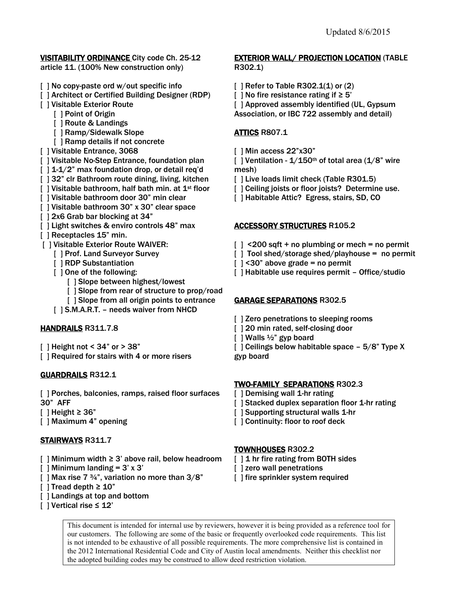#### **VISITABILITY ORDINANCE City code Ch. 25-12** article 11. (100% New construction only)

- [ ] No copy-paste ord w/out specific info
- [ ] Architect or Certified Building Designer (RDP)
- [ ] Visitable Exterior Route
	- [ ] Point of Origin
	- [ ] Route & Landings
	- [ ] Ramp/Sidewalk Slope
	- [ ] Ramp details if not concrete
- [ ] Visitable Entrance, 3068
- [ ] Visitable No-Step Entrance, foundation plan
- [ ] 1-1/2" max foundation drop, or detail req'd
- [  $\vert$  32" clr Bathroom route dining, living, kitchen
- $\lceil$  | Visitable bathroom, half bath min. at  $1^{st}$  floor
- [ ] Visitable bathroom door 30" min clear
- [] Visitable bathroom 30" x 30" clear space
- [  $\vert$  2x6 Grab bar blocking at 34"
- [ ] Light switches & enviro controls 48" max
- [ ] Receptacles 15" min.
- [ ] Visitable Exterior Route WAIVER:
	- [ ] Prof. Land Surveyor Survey
	- [ ] RDP Substantiation
	- [  $\vert$  0 ne of the following:
		- [] Slope between highest/lowest
		- [ ] Slope from rear of structure to prop/road
		- [] Slope from all origin points to entrance
	- [ ] S.M.A.R.T. needs waiver from NHCD

### HANDRAILS R311.7.8

- $\lceil$  ] Height not < 34" or > 38"
- [ ] Required for stairs with 4 or more risers

### GUARDRAILS R312.1

- [ ] Porches, balconies, ramps, raised floor surfaces 30" AFF
- $\lceil$  ] Height ≥ 36"
- [ ] Maximum 4" opening

# STAIRWAYS R311.7

- [ ] Minimum width ≥ 3' above rail, below headroom
- [ ] Minimum landing =  $3' \times 3'$
- [ ] Max rise 7  $\frac{3}{4}$ ", variation no more than  $3/8$ "
- $\lceil$  ] Tread depth  $\geq 10$ "
- [] Landings at top and bottom
- [ ] Vertical rise ≤ 12'

### **EXTERIOR WALL/ PROJECTION LOCATION (TABLE** R302.1)

- [ ] Refer to Table R302.1(1) or (2)
- [ ] No fire resistance rating if ≥ 5'

[ ] Approved assembly identified (UL, Gypsum Association, or IBC 722 assembly and detail)

# ATTICS R807.1

[ ] Min access 22"x30"

[ ] Ventilation -  $1/150$ <sup>th</sup> of total area ( $1/8$ " wire mesh)

- [ ] Live loads limit check (Table R301.5)
- [ ] Ceiling joists or floor joists? Determine use.
- [ ] Habitable Attic? Egress, stairs, SD, CO

### **ACCESSORY STRUCTURES R105.2**

- $\lceil$   $\rceil$  <200 sqft + no plumbing or mech = no permit
- [ ] Tool shed/storage shed/playhouse = no permit
- $[$  ] <30" above grade = no permit
- [] Habitable use requires permit Office/studio

# GARAGE SEPARATIONS R302.5

- [ ] Zero penetrations to sleeping rooms
- [ ] 20 min rated, self-closing door
- $\lceil$  | Walls  $\frac{1}{2}$ " gyp board
- [ ] Ceilings below habitable space  $-5/8$ " Type X gyp board

### TWO-FAMILY SEPARATIONS R302.3

- [ ] Demising wall 1-hr rating
- [ ] Stacked duplex separation floor 1-hr rating
- [ ] Supporting structural walls 1-hr
- [ ] Continuity: floor to roof deck

### TOWNHOUSES R302.2

- [ ] 1 hr fire rating from BOTH sides
- [] zero wall penetrations
- [] fire sprinkler system required

This document is intended for internal use by reviewers, however it is being provided as a reference tool for our customers. The following are some of the basic or frequently overlooked code requirements. This list is not intended to be exhaustive of all possible requirements. The more comprehensive list is contained in the 2012 International Residential Code and City of Austin local amendments. Neither this checklist nor the adopted building codes may be construed to allow deed restriction violation.